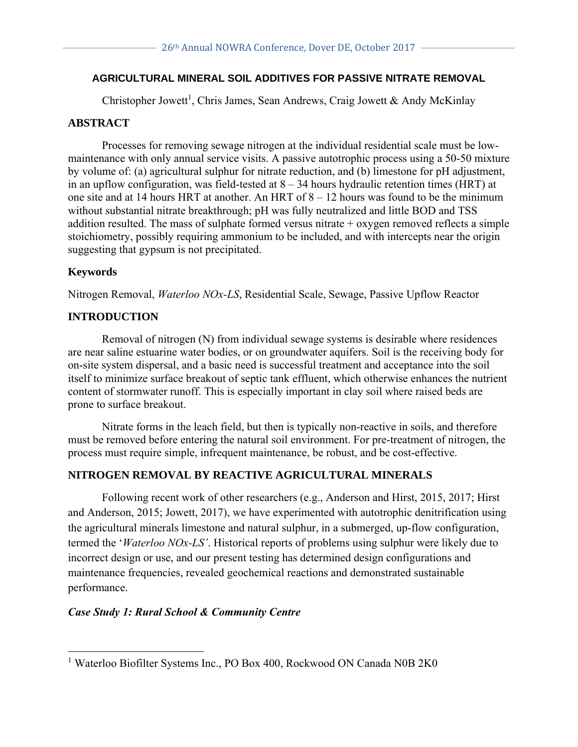# **AGRICULTURAL MINERAL SOIL ADDITIVES FOR PASSIVE NITRATE REMOVAL**

Christopher Jowett<sup>1</sup>, Chris James, Sean Andrews, Craig Jowett & Andy McKinlay

## **ABSTRACT**

Processes for removing sewage nitrogen at the individual residential scale must be lowmaintenance with only annual service visits. A passive autotrophic process using a 50-50 mixture by volume of: (a) agricultural sulphur for nitrate reduction, and (b) limestone for pH adjustment, in an upflow configuration, was field-tested at  $8 - 34$  hours hydraulic retention times (HRT) at one site and at 14 hours HRT at another. An HRT of 8 – 12 hours was found to be the minimum without substantial nitrate breakthrough; pH was fully neutralized and little BOD and TSS addition resulted. The mass of sulphate formed versus nitrate + oxygen removed reflects a simple stoichiometry, possibly requiring ammonium to be included, and with intercepts near the origin suggesting that gypsum is not precipitated.

# **Keywords**

Nitrogen Removal, *Waterloo NOx-LS*, Residential Scale, Sewage, Passive Upflow Reactor

# **INTRODUCTION**

Removal of nitrogen (N) from individual sewage systems is desirable where residences are near saline estuarine water bodies, or on groundwater aquifers. Soil is the receiving body for on-site system dispersal, and a basic need is successful treatment and acceptance into the soil itself to minimize surface breakout of septic tank effluent, which otherwise enhances the nutrient content of stormwater runoff. This is especially important in clay soil where raised beds are prone to surface breakout.

Nitrate forms in the leach field, but then is typically non-reactive in soils, and therefore must be removed before entering the natural soil environment. For pre-treatment of nitrogen, the process must require simple, infrequent maintenance, be robust, and be cost-effective.

# **NITROGEN REMOVAL BY REACTIVE AGRICULTURAL MINERALS**

Following recent work of other researchers (e.g., Anderson and Hirst, 2015, 2017; Hirst and Anderson, 2015; Jowett, 2017), we have experimented with autotrophic denitrification using the agricultural minerals limestone and natural sulphur, in a submerged, up-flow configuration, termed the '*Waterloo NOx-LS'*. Historical reports of problems using sulphur were likely due to incorrect design or use, and our present testing has determined design configurations and maintenance frequencies, revealed geochemical reactions and demonstrated sustainable performance.

#### *Case Study 1: Rural School & Community Centre*

<sup>&</sup>lt;sup>1</sup> Waterloo Biofilter Systems Inc., PO Box 400, Rockwood ON Canada N0B 2K0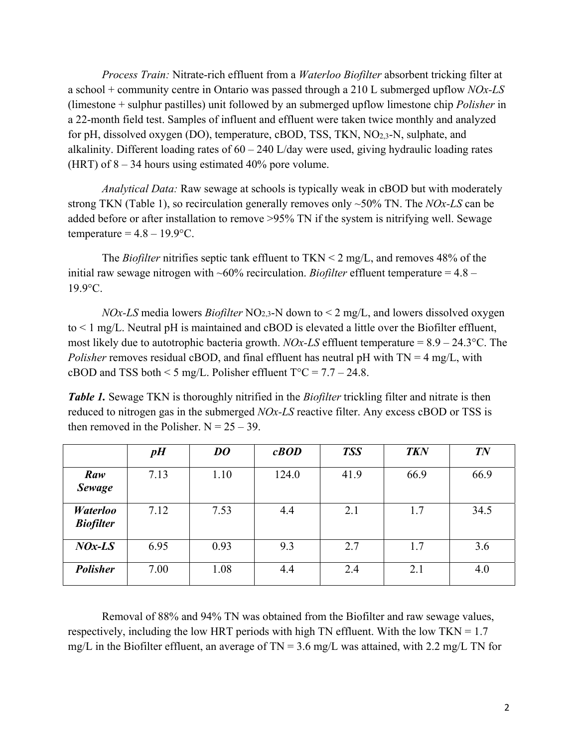*Process Train:* Nitrate-rich effluent from a *Waterloo Biofilter* absorbent tricking filter at a school + community centre in Ontario was passed through a 210 L submerged upflow *NOx-LS* (limestone + sulphur pastilles) unit followed by an submerged upflow limestone chip *Polisher* in a 22-month field test. Samples of influent and effluent were taken twice monthly and analyzed for pH, dissolved oxygen (DO), temperature, cBOD, TSS, TKN, NO2,3-N, sulphate, and alkalinity. Different loading rates of 60 – 240 L/day were used, giving hydraulic loading rates (HRT) of  $8 - 34$  hours using estimated 40% pore volume.

*Analytical Data:* Raw sewage at schools is typically weak in cBOD but with moderately strong TKN (Table 1), so recirculation generally removes only ~50% TN. The *NOx-LS* can be added before or after installation to remove >95% TN if the system is nitrifying well. Sewage temperature =  $4.8 - 19.9$ °C.

The *Biofilter* nitrifies septic tank effluent to TKN < 2 mg/L, and removes 48% of the initial raw sewage nitrogen with  $\sim 60\%$  recirculation. *Biofilter* effluent temperature = 4.8 – 19.9°C.

*NOx-LS* media lowers *Biofilter* NO2,3-N down to < 2 mg/L, and lowers dissolved oxygen to < 1 mg/L. Neutral pH is maintained and cBOD is elevated a little over the Biofilter effluent, most likely due to autotrophic bacteria growth. *NOx-LS* effluent temperature = 8.9 – 24.3°C. The *Polisher* removes residual cBOD, and final effluent has neutral pH with TN = 4 mg/L, with cBOD and TSS both  $\leq$  5 mg/L. Polisher effluent T°C = 7.7 – 24.8.

*Table 1.* Sewage TKN is thoroughly nitrified in the *Biofilter* trickling filter and nitrate is then reduced to nitrogen gas in the submerged *NOx-LS* reactive filter. Any excess cBOD or TSS is then removed in the Polisher.  $N = 25 - 39$ .

|                                     | pH   | DO   | cBOD  | <b>TSS</b> | <b>TKN</b> | TN   |
|-------------------------------------|------|------|-------|------------|------------|------|
| Raw<br><b>Sewage</b>                | 7.13 | 1.10 | 124.0 | 41.9       | 66.9       | 66.9 |
| <b>Waterloo</b><br><b>Biofilter</b> | 7.12 | 7.53 | 4.4   | 2.1        | 1.7        | 34.5 |
| $\mathit{NOx}\text{-}\mathit{LS}$   | 6.95 | 0.93 | 9.3   | 2.7        | 1.7        | 3.6  |
| <b>Polisher</b>                     | 7.00 | 1.08 | 4.4   | 2.4        | 2.1        | 4.0  |

Removal of 88% and 94% TN was obtained from the Biofilter and raw sewage values, respectively, including the low HRT periods with high TN effluent. With the low TKN =  $1.7$ mg/L in the Biofilter effluent, an average of  $TN = 3.6$  mg/L was attained, with 2.2 mg/L TN for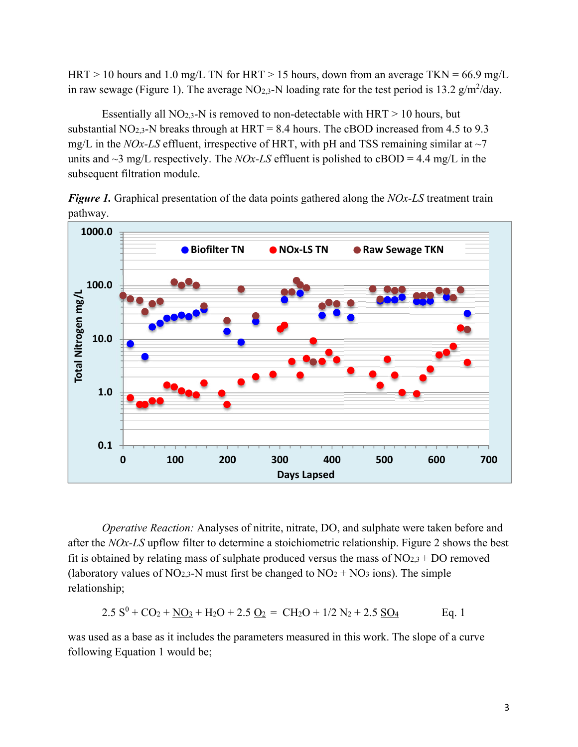HRT > 10 hours and 1.0 mg/L TN for HRT > 15 hours, down from an average TKN =  $66.9$  mg/L in raw sewage (Figure 1). The average NO<sub>2,3</sub>-N loading rate for the test period is 13.2 g/m<sup>2</sup>/day.

Essentially all NO<sub>2,3</sub>-N is removed to non-detectable with  $HRT > 10$  hours, but substantial NO<sub>2,3</sub>-N breaks through at HRT = 8.4 hours. The cBOD increased from 4.5 to 9.3 mg/L in the *NOx-LS* effluent, irrespective of HRT, with pH and TSS remaining similar at  $\sim$ 7 units and  $\sim$ 3 mg/L respectively. The *NOx-LS* effluent is polished to cBOD = 4.4 mg/L in the subsequent filtration module.

*Figure 1.* Graphical presentation of the data points gathered along the *NOx-LS* treatment train pathway.



*Operative Reaction:* Analyses of nitrite, nitrate, DO, and sulphate were taken before and after the *NOx-LS* upflow filter to determine a stoichiometric relationship. Figure 2 shows the best fit is obtained by relating mass of sulphate produced versus the mass of  $NO<sub>2,3</sub> + DO$  removed (laboratory values of  $NO<sub>2.3</sub>$ -N must first be changed to  $NO<sub>2</sub> + NO<sub>3</sub>$  ions). The simple relationship;

$$
2.5 S^{0} + CO_{2} + \underline{NO_{3}} + H_{2}O + 2.5 \underline{O_{2}} = CH_{2}O + 1/2 N_{2} + 2.5 \underline{SO_{4}} \qquad \text{Eq. 1}
$$

was used as a base as it includes the parameters measured in this work. The slope of a curve following Equation 1 would be;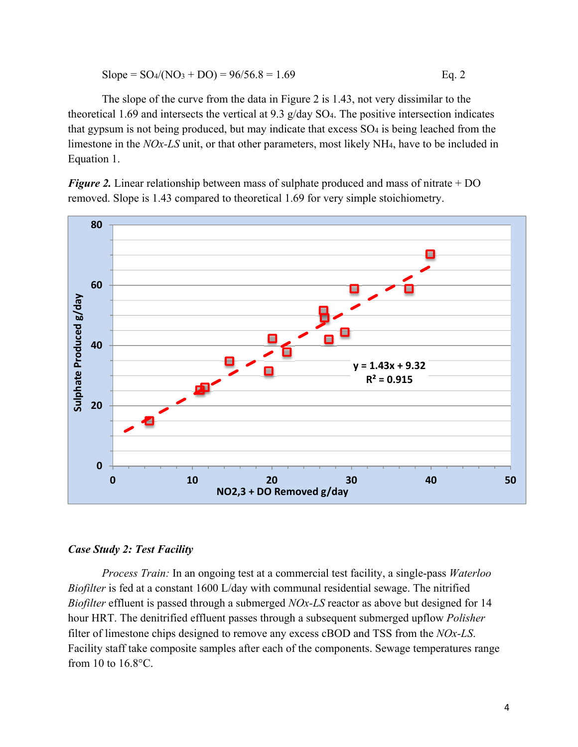Slope = 
$$
SO_4/(NO_3 + DO) = 96/56.8 = 1.69
$$
 Eq. 2

The slope of the curve from the data in Figure 2 is 1.43, not very dissimilar to the theoretical 1.69 and intersects the vertical at 9.3 g/day SO4. The positive intersection indicates that gypsum is not being produced, but may indicate that excess SO4 is being leached from the limestone in the *NOx-LS* unit, or that other parameters, most likely NH4, have to be included in Equation 1.

*Figure 2.* Linear relationship between mass of sulphate produced and mass of nitrate + DO removed. Slope is 1.43 compared to theoretical 1.69 for very simple stoichiometry.



#### *Case Study 2: Test Facility*

*Process Train:* In an ongoing test at a commercial test facility, a single-pass *Waterloo Biofilter* is fed at a constant 1600 L/day with communal residential sewage. The nitrified *Biofilter* effluent is passed through a submerged *NOx-LS* reactor as above but designed for 14 hour HRT. The denitrified effluent passes through a subsequent submerged upflow *Polisher* filter of limestone chips designed to remove any excess cBOD and TSS from the *NOx-LS*. Facility staff take composite samples after each of the components. Sewage temperatures range from 10 to 16.8°C.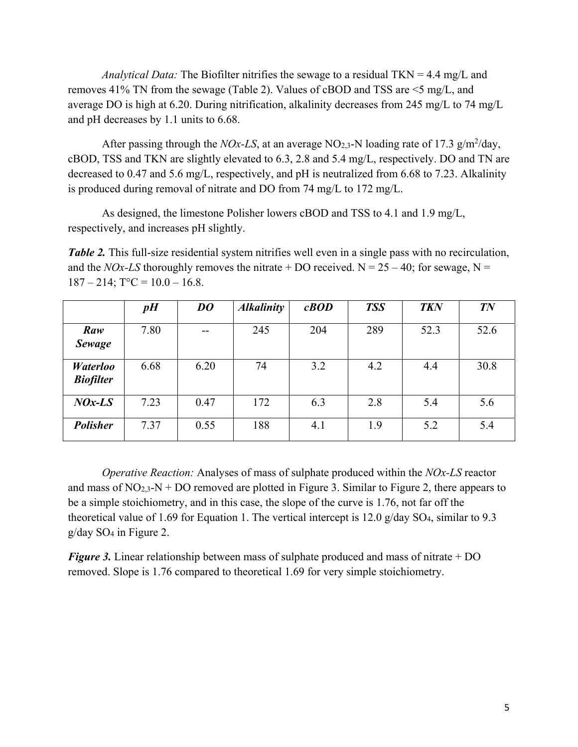*Analytical Data:* The Biofilter nitrifies the sewage to a residual TKN = 4.4 mg/L and removes 41% TN from the sewage (Table 2). Values of cBOD and TSS are <5 mg/L, and average DO is high at 6.20. During nitrification, alkalinity decreases from 245 mg/L to 74 mg/L and pH decreases by 1.1 units to 6.68.

After passing through the *NOx-LS*, at an average NO<sub>2,3</sub>-N loading rate of 17.3 g/m<sup>2</sup>/day, cBOD, TSS and TKN are slightly elevated to 6.3, 2.8 and 5.4 mg/L, respectively. DO and TN are decreased to 0.47 and 5.6 mg/L, respectively, and pH is neutralized from 6.68 to 7.23. Alkalinity is produced during removal of nitrate and DO from 74 mg/L to 172 mg/L.

As designed, the limestone Polisher lowers cBOD and TSS to 4.1 and 1.9 mg/L, respectively, and increases pH slightly.

*Table 2.* This full-size residential system nitrifies well even in a single pass with no recirculation, and the *NOx-LS* thoroughly removes the nitrate + DO received.  $N = 25 - 40$ ; for sewage,  $N =$  $187 - 214$ ; T°C =  $10.0 - 16.8$ .

|                                     | pH   | DO    | <b>Alkalinity</b> | cBOD | <b>TSS</b> | <b>TKN</b> | TN   |
|-------------------------------------|------|-------|-------------------|------|------------|------------|------|
| Raw<br>Sewage                       | 7.80 | $- -$ | 245               | 204  | 289        | 52.3       | 52.6 |
| <b>Waterloo</b><br><b>Biofilter</b> | 6.68 | 6.20  | 74                | 3.2  | 4.2        | 4.4        | 30.8 |
| $NOx-LS$                            | 7.23 | 0.47  | 172               | 6.3  | 2.8        | 5.4        | 5.6  |
| <b>Polisher</b>                     | 7.37 | 0.55  | 188               | 4.1  | 1.9        | 5.2        | 5.4  |

*Operative Reaction:* Analyses of mass of sulphate produced within the *NOx-LS* reactor and mass of  $NO_{2,3}$ -N + DO removed are plotted in Figure 3. Similar to Figure 2, there appears to be a simple stoichiometry, and in this case, the slope of the curve is 1.76, not far off the theoretical value of 1.69 for Equation 1. The vertical intercept is 12.0  $g/day SO<sub>4</sub>$ , similar to 9.3 g/day SO4 in Figure 2.

*Figure 3.* Linear relationship between mass of sulphate produced and mass of nitrate + DO removed. Slope is 1.76 compared to theoretical 1.69 for very simple stoichiometry.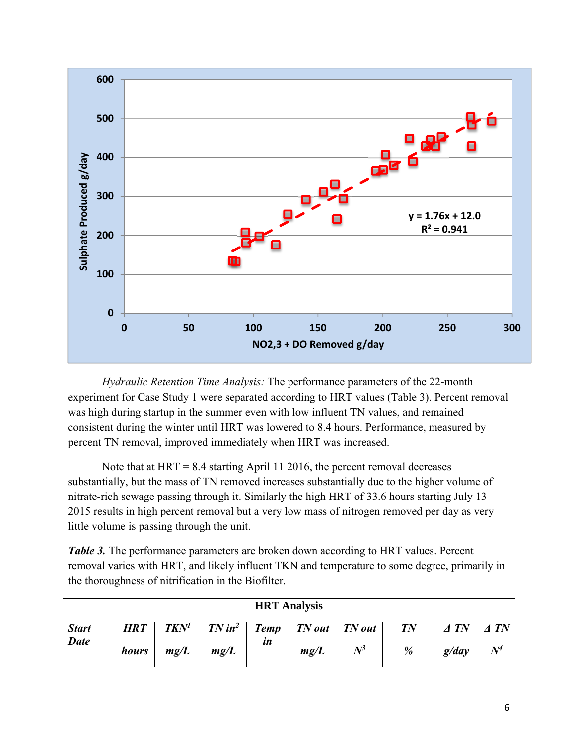

*Hydraulic Retention Time Analysis:* The performance parameters of the 22-month experiment for Case Study 1 were separated according to HRT values (Table 3). Percent removal was high during startup in the summer even with low influent TN values, and remained consistent during the winter until HRT was lowered to 8.4 hours. Performance, measured by percent TN removal, improved immediately when HRT was increased.

Note that at  $HRT = 8.4$  starting April 11 2016, the percent removal decreases substantially, but the mass of TN removed increases substantially due to the higher volume of nitrate-rich sewage passing through it. Similarly the high HRT of 33.6 hours starting July 13 2015 results in high percent removal but a very low mass of nitrogen removed per day as very little volume is passing through the unit.

*Table 3.* The performance parameters are broken down according to HRT values. Percent removal varies with HRT, and likely influent TKN and temperature to some degree, primarily in the thoroughness of nitrification in the Biofilter.

| <b>HRT</b> Analysis |            |      |      |              |                                                               |       |        |                |             |  |
|---------------------|------------|------|------|--------------|---------------------------------------------------------------|-------|--------|----------------|-------------|--|
| <b>Start</b>        | <b>HRT</b> |      |      |              | $TKN^1$   $TN$ in <sup>2</sup>   $Temp$   $TN$ out   $TN$ out |       | $T\!N$ | $\triangle$ TN | $\Delta TN$ |  |
| <b>Date</b>         | hours      | mg/L | mg/L | $\mathbf{m}$ | mg/L                                                          | $N^3$ | %      | g/day          | $N^4$       |  |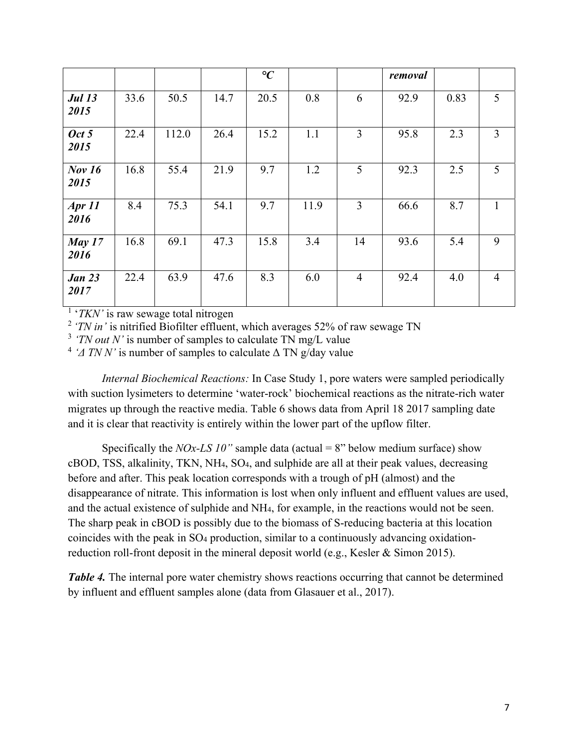|                       |      |       |      | $\rm ^{\circ}C$ |      |                | removal |      |                |
|-----------------------|------|-------|------|-----------------|------|----------------|---------|------|----------------|
| <b>Jul 13</b><br>2015 | 33.6 | 50.5  | 14.7 | 20.5            | 0.8  | 6              | 92.9    | 0.83 | 5              |
| Oct 5<br>2015         | 22.4 | 112.0 | 26.4 | 15.2            | 1.1  | 3              | 95.8    | 2.3  | $\overline{3}$ |
| <b>Nov 16</b><br>2015 | 16.8 | 55.4  | 21.9 | 9.7             | 1.2  | 5              | 92.3    | 2.5  | 5              |
| Apr 11<br>2016        | 8.4  | 75.3  | 54.1 | 9.7             | 11.9 | $\overline{3}$ | 66.6    | 8.7  |                |
| May $17$<br>2016      | 16.8 | 69.1  | 47.3 | 15.8            | 3.4  | 14             | 93.6    | 5.4  | 9              |
| <b>Jan 23</b><br>2017 | 22.4 | 63.9  | 47.6 | 8.3             | 6.0  | $\overline{4}$ | 92.4    | 4.0  | $\overline{4}$ |

<sup>1</sup> '*TKN*' is raw sewage total nitrogen

<sup>2</sup> 'TN in' is nitrified Biofilter effluent, which averages 52% of raw sewage TN

<sup>3</sup> *'TN out N'* is number of samples to calculate TN mg/L value

<sup>4</sup> *'* $\Delta$  *TN N'* is number of samples to calculate  $\Delta$  TN g/day value

*Internal Biochemical Reactions:* In Case Study 1, pore waters were sampled periodically with suction lysimeters to determine 'water-rock' biochemical reactions as the nitrate-rich water migrates up through the reactive media. Table 6 shows data from April 18 2017 sampling date and it is clear that reactivity is entirely within the lower part of the upflow filter.

Specifically the *NOx-LS 10"* sample data (actual = 8" below medium surface) show cBOD, TSS, alkalinity, TKN, NH4, SO4, and sulphide are all at their peak values, decreasing before and after. This peak location corresponds with a trough of pH (almost) and the disappearance of nitrate. This information is lost when only influent and effluent values are used, and the actual existence of sulphide and NH4, for example, in the reactions would not be seen. The sharp peak in cBOD is possibly due to the biomass of S-reducing bacteria at this location coincides with the peak in SO4 production, similar to a continuously advancing oxidationreduction roll-front deposit in the mineral deposit world (e.g., Kesler & Simon 2015).

*Table 4.* The internal pore water chemistry shows reactions occurring that cannot be determined by influent and effluent samples alone (data from Glasauer et al., 2017).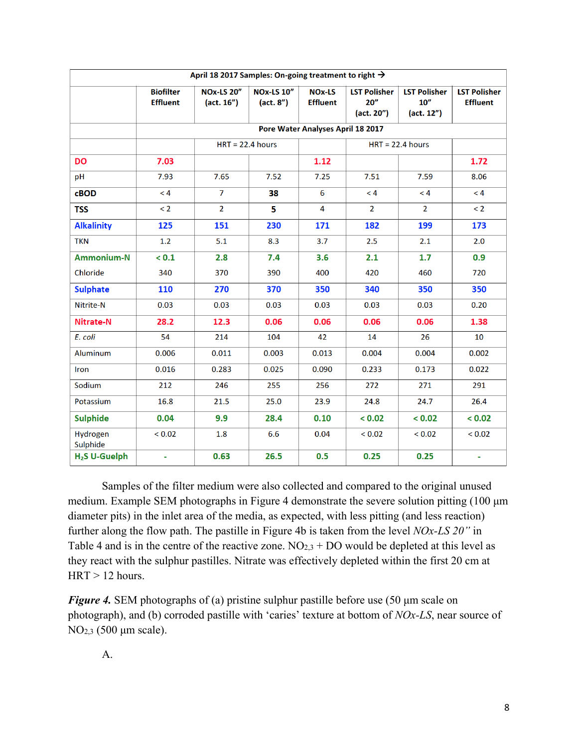| April 18 2017 Samples: On-going treatment to right → |                                     |                                 |                                              |                                  |                                           |                                                       |                                        |  |  |  |  |
|------------------------------------------------------|-------------------------------------|---------------------------------|----------------------------------------------|----------------------------------|-------------------------------------------|-------------------------------------------------------|----------------------------------------|--|--|--|--|
|                                                      | <b>Biofilter</b><br><b>Effluent</b> | <b>NOx-LS 20"</b><br>(act. 16") | <b>NOx-LS 10"</b><br>(act. 8 <sup>''</sup> ) | <b>NOx-LS</b><br><b>Effluent</b> | <b>LST Polisher</b><br>20''<br>(act. 20") | <b>LST Polisher</b><br>10 <sup>''</sup><br>(act. 12") | <b>LST Polisher</b><br><b>Effluent</b> |  |  |  |  |
|                                                      | Pore Water Analyses April 18 2017   |                                 |                                              |                                  |                                           |                                                       |                                        |  |  |  |  |
|                                                      | $HRT = 22.4$ hours                  |                                 |                                              |                                  |                                           |                                                       |                                        |  |  |  |  |
| <b>DO</b>                                            | 7.03                                |                                 |                                              | 1.12                             |                                           |                                                       | 1.72                                   |  |  |  |  |
| pH                                                   | 7.93                                | 7.65                            | 7.52                                         | 7.25                             | 7.51                                      | 7.59                                                  | 8.06                                   |  |  |  |  |
| $c$ BOD                                              | < 4                                 | $\overline{7}$                  | 38                                           | 6                                | < 4                                       | < 4                                                   | < 4                                    |  |  |  |  |
| <b>TSS</b>                                           | $\leq$ 2                            | $\overline{2}$                  | 5                                            | $\overline{\mathbf{4}}$          | $\overline{2}$                            | $\overline{2}$                                        | $\leq$ 2                               |  |  |  |  |
| <b>Alkalinity</b>                                    | 125                                 | 151                             | 230                                          | 171                              | 182                                       | 199                                                   | 173                                    |  |  |  |  |
| <b>TKN</b>                                           | 1.2                                 | 5.1                             | 8.3                                          | 3.7                              | 2.5                                       | 2.1                                                   | 2.0                                    |  |  |  |  |
| Ammonium-N                                           | < 0.1                               | 2.8                             | 7.4                                          | 3.6                              | 2.1                                       | 1.7                                                   | 0.9                                    |  |  |  |  |
| Chloride                                             | 340                                 | 370                             | 390                                          | 400                              | 420                                       | 460                                                   | 720                                    |  |  |  |  |
| <b>Sulphate</b>                                      | 110                                 | 270                             | 370                                          | 350                              | 340                                       | 350                                                   | 350                                    |  |  |  |  |
| Nitrite-N                                            | 0.03                                | 0.03                            | 0.03                                         | 0.03                             | 0.03                                      | 0.03                                                  | 0.20                                   |  |  |  |  |
| Nitrate-N                                            | 28.2                                | 12.3                            | 0.06                                         | 0.06                             | 0.06                                      | 0.06                                                  | 1.38                                   |  |  |  |  |
| E. coli                                              | 54                                  | 214                             | 104                                          | 42                               | 14                                        | 26                                                    | 10                                     |  |  |  |  |
| Aluminum                                             | 0.006                               | 0.011                           | 0.003                                        | 0.013                            | 0.004                                     | 0.004                                                 | 0.002                                  |  |  |  |  |
| Iron                                                 | 0.016                               | 0.283                           | 0.025                                        | 0.090                            | 0.233                                     | 0.173                                                 | 0.022                                  |  |  |  |  |
| Sodium                                               | 212                                 | 246                             | 255                                          | 256                              | 272                                       | 271                                                   | 291                                    |  |  |  |  |
| Potassium                                            | 16.8                                | 21.5                            | 25.0                                         | 23.9                             | 24.8                                      | 24.7                                                  | 26.4                                   |  |  |  |  |
| <b>Sulphide</b>                                      | 0.04                                | 9.9                             | 28.4                                         | 0.10                             | < 0.02                                    | < 0.02                                                | < 0.02                                 |  |  |  |  |
| Hydrogen<br>Sulphide                                 | < 0.02                              | 1.8                             | 6.6                                          | 0.04                             | < 0.02                                    | < 0.02                                                | < 0.02                                 |  |  |  |  |
| H <sub>2</sub> S U-Guelph                            | ÷                                   | 0.63                            | 26.5                                         | 0.5                              | 0.25                                      | 0.25                                                  | ÷                                      |  |  |  |  |

Samples of the filter medium were also collected and compared to the original unused medium. Example SEM photographs in Figure 4 demonstrate the severe solution pitting (100 μm diameter pits) in the inlet area of the media, as expected, with less pitting (and less reaction) further along the flow path. The pastille in Figure 4b is taken from the level *NOx-LS 20"* in Table 4 and is in the centre of the reactive zone.  $NO<sub>2,3</sub> + DO$  would be depleted at this level as they react with the sulphur pastilles. Nitrate was effectively depleted within the first 20 cm at  $HRT > 12$  hours.

*Figure 4.* SEM photographs of (a) pristine sulphur pastille before use (50 μm scale on photograph), and (b) corroded pastille with 'caries' texture at bottom of *NOx-LS*, near source of NO2,3 (500 μm scale).

A.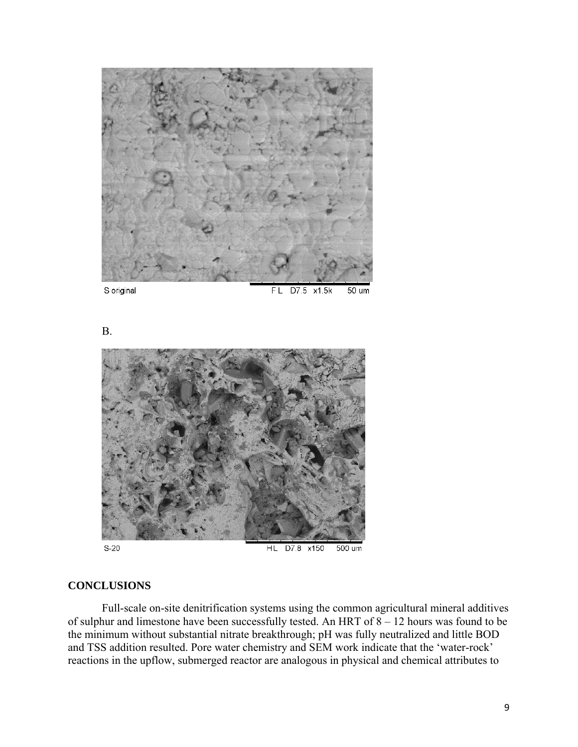

S original

D7.5 x1.5k 50 um FL

B.



 $S-20$ 

**HL** D7.8 x150 500 um

## **CONCLUSIONS**

Full-scale on-site denitrification systems using the common agricultural mineral additives of sulphur and limestone have been successfully tested. An HRT of 8 – 12 hours was found to be the minimum without substantial nitrate breakthrough; pH was fully neutralized and little BOD and TSS addition resulted. Pore water chemistry and SEM work indicate that the 'water-rock' reactions in the upflow, submerged reactor are analogous in physical and chemical attributes to